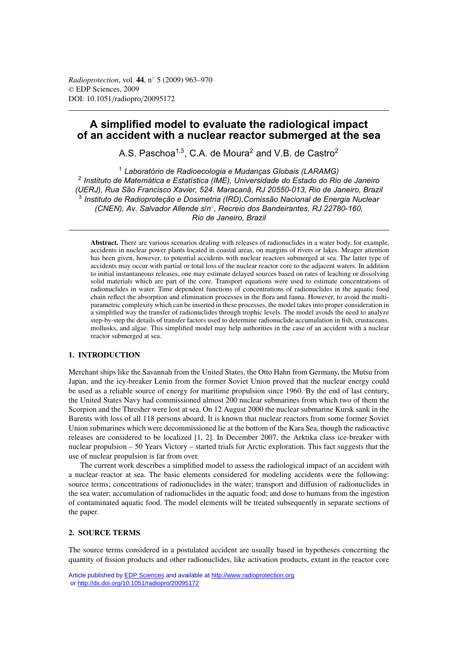# **A simplified model to evaluate the radiological impact of an accident with a nuclear reactor submerged at the sea**

A.S. Paschoa<sup>1,3</sup>, C.A. de Moura<sup>2</sup> and V.B. de Castro<sup>2</sup>

<sup>1</sup> *Laboratório de Radioecologia e Mudanças Globais (LARAMG)* <sup>2</sup> *Instituto de Matemática e Estatística (IME), Universidade do Estado do Rio de Janeiro (UERJ), Rua São Francisco Xavier, 524. Maracanã, RJ 20550-013, Rio de Janeiro, Brazil* <sup>3</sup> *Instituto de Radioproteção e Dosimetria (IRD),Comissão Nacional de Energia Nuclear (CNEN), Av. Salvador Allende s/n*◦*, Recreio dos Bandeirantes, RJ 22780-160, Rio de Janeiro, Brazil*

**Abstract.** There are various scenarios dealing with releases of radionuclides in a water body, for example, accidents in nuclear power plants located in coastal areas, on margins of rivers or lakes. Meager attention has been given, however, to potential accidents with nuclear reactors submerged at sea. The latter type of accidents may occur with partial or total loss of the nuclear reactor core to the adjacent waters. In addition to initial instantaneous releases, one may estimate delayed sources based on rates of leaching or dissolving solid materials which are part of the core. Transport equations were used to estimate concentrations of radionuclides in water. Time dependent functions of concentrations of radionuclides in the aquatic food chain reflect the absorption and elimination processes in the flora and fauna. However, to avoid the multiparametric complexity which can be inserted in these processes, the model takes into proper consideration in a simplified way the transfer of radionuclides through trophic levels. The model avoids the need to analyze step-by-step the details of transfer factors used to determine radionuclide accumulation in fish, crustaceans, mollusks, and algae. This simplified model may help authorities in the case of an accident with a nuclear reactor submerged at sea.

# **1. INTRODUCTION**

Merchant ships like the Savannah from the United States, the Otto Hahn from Germany, the Mutsu from Japan, and the icy-breaker Lenin from the former Soviet Union proved that the nuclear energy could be used as a reliable source of energy for maritime propulsion since 1960. By the end of last century, the United States Navy had commissioned almost 200 nuclear submarines from which two of them the Scorpion and the Thresher were lost at sea. On 12 August 2000 the nuclear submarine Kursk sank in the Barents with loss of all 118 persons aboard. It is known that nuclear reactors from some former Soviet Union submarines which were decommissioned lie at the bottom of the Kara Sea, though the radioactive releases are considered to be localized [1, 2]. In December 2007, the Arktika class ice-breaker with nuclear propulsion – 50 Years Victory – started trials for Arctic exploration. This fact suggests that the use of nuclear propulsion is far from over.

The current work describes a simplified model to assess the radiological impact of an accident with a nuclear reactor at sea. The basic elements considered for modeling accidents were the following: source terms; concentrations of radionuclides in the water; transport and diffusion of radionuclides in the sea water; accumulation of radionuclides in the aquatic food; and dose to humans from the ingestion of contaminated aquatic food. The model elements will be treated subsequently in separate sections of the paper.

# **2. SOURCE TERMS**

The source terms considered in a postulated accident are usually based in hypotheses concerning the quantity of fission products and other radionuclides, like activation products, extant in the reactor core

Article published by [EDP Sciences](http://www.edpsciences.org) and available at<http://www.radioprotection.org> or <http://dx.doi.org/10.1051/radiopro/20095172>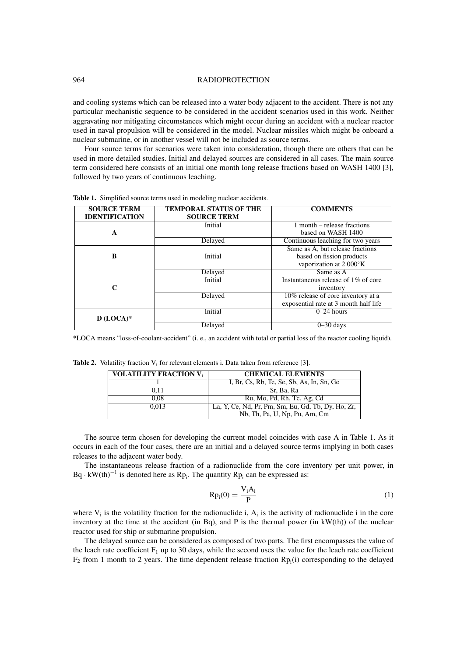and cooling systems which can be released into a water body adjacent to the accident. There is not any particular mechanistic sequence to be considered in the accident scenarios used in this work. Neither aggravating nor mitigating circumstances which might occur during an accident with a nuclear reactor used in naval propulsion will be considered in the model. Nuclear missiles which might be onboard a nuclear submarine, or in another vessel will not be included as source terms.

Four source terms for scenarios were taken into consideration, though there are others that can be used in more detailed studies. Initial and delayed sources are considered in all cases. The main source term considered here consists of an initial one month long release fractions based on WASH 1400 [3], followed by two years of continuous leaching.

| <b>SOURCE TERM</b>    | <b>TEMPORAL STATUS OF THE</b> | <b>COMMENTS</b>                       |  |  |
|-----------------------|-------------------------------|---------------------------------------|--|--|
| <b>IDENTIFICATION</b> | <b>SOURCE TERM</b>            |                                       |  |  |
|                       | Initial                       | 1 month – release fractions           |  |  |
| A                     |                               | based on WASH 1400                    |  |  |
|                       | Delayed                       | Continuous leaching for two years     |  |  |
|                       |                               | Same as A, but release fractions      |  |  |
| B                     | Initial                       | based on fission products             |  |  |
|                       |                               | vaporization at 2.000°K               |  |  |
|                       | Delayed                       | Same as A                             |  |  |
|                       | Initial                       | Instantaneous release of 1% of core   |  |  |
| C                     |                               | inventory                             |  |  |
|                       | Delayed                       | 10% release of core inventory at a    |  |  |
|                       |                               | exposential rate at 3 month half life |  |  |
|                       | <b>Initial</b>                | $0-24$ hours                          |  |  |
| $D (LOCA)*$           |                               |                                       |  |  |
|                       | Delayed                       | $0 - 30$ days                         |  |  |

**Table 1.** Simplified source terms used in modeling nuclear accidents.

\*LOCA means "loss-of-coolant-accident" (i. e., an accident with total or partial loss of the reactor cooling liquid).

| <b>VOLATILITY FRACTION V</b> | <b>CHEMICAL ELEMENTS</b>                           |
|------------------------------|----------------------------------------------------|
|                              | I, Br, Cs, Rb, Te, Se, Sb, As, In, Sn, Ge          |
| 0.11                         | Sr. Ba. Ra                                         |
| 0.08                         | Ru, Mo, Pd, Rh, Tc, Ag, Cd                         |
| 0.013                        | La, Y, Ce, Nd, Pr, Pm, Sm, Eu, Gd, Tb, Dy, Ho, Zr, |
|                              | Nb, Th, Pa, U, Np, Pu, Am, Cm                      |

|  | <b>Table 2.</b> Volatility fraction $V_i$ for relevant elements i. Data taken from reference [3]. |  |  |  |  |  |  |  |  |
|--|---------------------------------------------------------------------------------------------------|--|--|--|--|--|--|--|--|
|--|---------------------------------------------------------------------------------------------------|--|--|--|--|--|--|--|--|

The source term chosen for developing the current model coincides with case A in Table 1. As it occurs in each of the four cases, there are an initial and a delayed source terms implying in both cases releases to the adjacent water body.

The instantaneous release fraction of a radionuclide from the core inventory per unit power, in  $Bq \cdot kW(th)^{-1}$  is denoted here as  $Rp_i$ . The quantity  $Rp_i$  can be expressed as:

$$
Rp_i(0) = \frac{V_i A_i}{P}
$$
 (1)

where  $V_i$  is the volatility fraction for the radionuclide i,  $A_i$  is the activity of radionuclide i in the core inventory at the time at the accident (in Bq), and P is the thermal power (in  $kW(t)$ ) of the nuclear reactor used for ship or submarine propulsion.

The delayed source can be considered as composed of two parts. The first encompasses the value of the leach rate coefficient  $F_1$  up to 30 days, while the second uses the value for the leach rate coefficient  $F_2$  from 1 month to 2 years. The time dependent release fraction  $Rp_i(i)$  corresponding to the delayed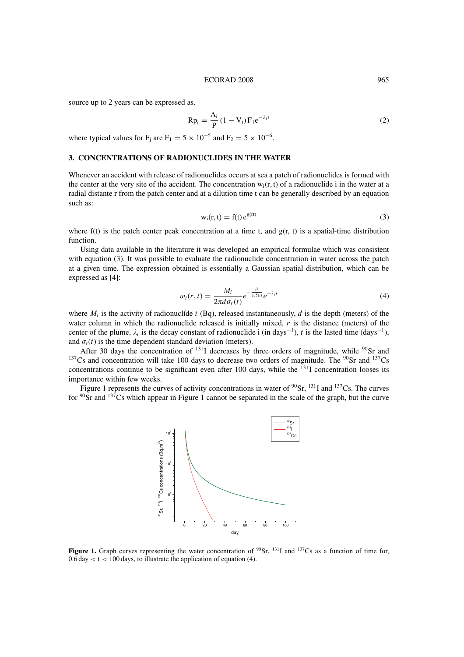source up to 2 years can be expressed as.

$$
Rp_{i} = \frac{A_{i}}{P} (1 - V_{i}) F_{1} e^{-\lambda_{1} t}
$$
 (2)

where typical values for F<sub>i</sub> are F<sub>1</sub> =  $5 \times 10^{-5}$  and F<sub>2</sub> =  $5 \times 10^{-6}$ .

# **3. CONCENTRATIONS OF RADIONUCLIDES IN THE WATER**

Whenever an accident with release of radionuclides occurs at sea a patch of radionuclides is formed with the center at the very site of the accident. The concentration  $w_i(r, t)$  of a radionuclide i in the water at a radial distante r from the patch center and at a dilution time t can be generally described by an equation such as:

$$
w_i(r, t) = f(t) e^{g(rt)} \tag{3}
$$

where  $f(t)$  is the patch center peak concentration at a time t, and  $g(r, t)$  is a spatial-time distribution function.

Using data available in the literature it was developed an empirical formulae which was consistent with equation (3). It was possible to evaluate the radionuclide concentration in water across the patch at a given time. The expression obtained is essentially a Gaussian spatial distribution, which can be expressed as [4]:

$$
w_i(r,t) = \frac{M_i}{2\pi d\sigma_r(t)} e^{-\frac{r^2}{2\sigma_r^2(t)}} e^{-\lambda_i t}
$$
 (4)

where  $M_i$  is the activity of radionuclíde i (Bq), released instantaneously, d is the depth (meters) of the water column in which the radionuclide released is initially mixed,  $r$  is the distance (meters) of the center of the plume,  $\lambda_i$  is the decay constant of radionuclide i (in days<sup>-1</sup>), t is the lasted time (days<sup>-1</sup>), and  $\sigma_r(t)$  is the time dependent standard deviation (meters).

After 30 days the concentration of  $^{131}$ I decreases by three orders of magnitude, while  $^{90}$ Sr and  $137Cs$  and concentration will take 100 days to decrease two orders of magnitude. The  $90Sr$  and  $137Cs$ concentrations continue to be significant even after 100 days, while the  $^{131}$ I concentration looses its importance within few weeks.

Figure 1 represents the curves of activity concentrations in water of <sup>90</sup>Sr, <sup>131</sup>I and <sup>137</sup>Cs. The curves for  $90\text{Sr}$  and  $137\text{Cs}$  which appear in Figure 1 cannot be separated in the scale of the graph, but the curve



**Figure 1.** Graph curves representing the water concentration of <sup>90</sup>Sr, <sup>131</sup>I and <sup>137</sup>Cs as a function of time for,  $0.6$  day  $< t < 100$  days, to illustrate the application of equation (4).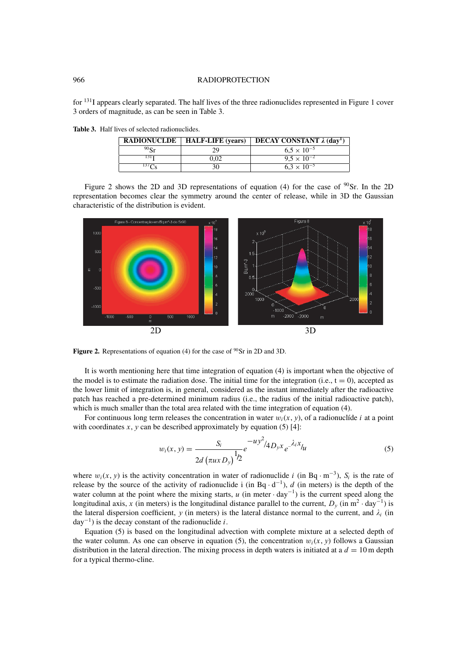for 131I appears clearly separated. The half lives of the three radionuclides represented in Figure 1 cover 3 orders of magnitude, as can be seen in Table 3.

**Table 3.** Half lives of selected radionuclides.

|                  | RADIONUCLDE   HALF-LIFE (years) | <b>DECAY CONSTANT</b> $\lambda$ (day <sup>1</sup> ) |
|------------------|---------------------------------|-----------------------------------------------------|
| 90 <sub>Sr</sub> | 29                              | $6.5 \times 10^{-5}$                                |
| 131 <b>T</b>     | 0.02                            | $9.5 \times 10^{-2}$                                |
|                  | 30                              | $6.3 \times 10^{-5}$                                |

Figure 2 shows the 2D and 3D representations of equation (4) for the case of  $90$ Sr. In the 2D representation becomes clear the symmetry around the center of release, while in 3D the Gaussian characteristic of the distribution is evident.



**Figure 2.** Representations of equation (4) for the case of <sup>90</sup>Sr in 2D and 3D.

It is worth mentioning here that time integration of equation (4) is important when the objective of the model is to estimate the radiation dose. The initial time for the integration (i.e.,  $t = 0$ ), accepted as the lower limit of integration is, in general, considered as the instant immediately after the radioactive patch has reached a pre-determined minimum radius (i.e., the radius of the initial radioactive patch), which is much smaller than the total area related with the time integration of equation (4).

For continuous long term releases the concentration in water  $w_i(x, y)$ , of a radionuclíde *i* at a point with coordinates  $x$ ,  $y$  can be described approximately by equation (5) [4]:

$$
w_i(x, y) = \frac{S_i}{2d \left(\pi u x D_y\right)^1 2} e^{-\mu y^2 / 4D_y x} e^{-\lambda_i x} / u \tag{5}
$$

where  $w_i(x, y)$  is the activity concentration in water of radionuclide i (in Bq · m<sup>-3</sup>),  $S_i$  is the rate of release by the source of the activity of radionuclide i (in Bq  $\cdot$  d<sup>-1</sup>), d (in meters) is the depth of the water column at the point where the mixing starts, u (in meter  $\cdot$  day<sup>-1</sup>) is the current speed along the longitudinal axis, x (in meters) is the longitudinal distance parallel to the current,  $D_y$  (in  $m^2 \cdot day^{-1}$ ) is the lateral dispersion coefficient, y (in meters) is the lateral distance normal to the current, and  $\lambda_i$  (in  $day^{-1}$ ) is the decay constant of the radionuclide *i*.

Equation (5) is based on the longitudinal advection with complete mixture at a selected depth of the water column. As one can observe in equation (5), the concentration  $w_i(x, y)$  follows a Gaussian distribution in the lateral direction. The mixing process in depth waters is initiated at a  $d = 10$  m depth for a typical thermo-cline.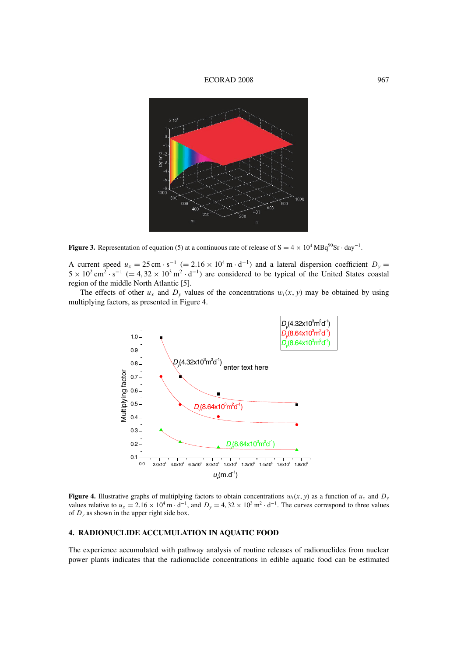#### ECORAD 2008 967



**Figure 3.** Representation of equation (5) at a continuous rate of release of  $S = 4 \times 10^4 \text{ MBq}^{90}$ Sr · day<sup>-1</sup>.

A current speed  $u_x = 25 \text{ cm} \cdot \text{s}^{-1}$  (= 2.16 × 10<sup>4</sup> m · d<sup>-1</sup>) and a lateral dispersion coefficient  $D_y =$  $5 \times 10^2 \text{ cm}^2 \cdot \text{s}^{-1}$  (= 4, 32 × 10<sup>3</sup> m<sup>2</sup> · d<sup>-1</sup>) are considered to be typical of the United States coastal region of the middle North Atlantic [5].

The effects of other  $u_x$  and  $D_y$  values of the concentrations  $w_i(x, y)$  may be obtained by using multiplying factors, as presented in Figure 4.



**Figure 4.** Illustrative graphs of multiplying factors to obtain concentrations  $w_i(x, y)$  as a function of  $u_x$  and  $D_y$ values relative to  $u_x = 2.16 \times 10^4 \text{ m} \cdot \text{d}^{-1}$ , and  $D_y = 4.32 \times 10^3 \text{ m}^2 \cdot \text{d}^{-1}$ . The curves correspond to three values of  $D_y$  as shown in the upper right side box.

# **4. RADIONUCLIDE ACCUMULATION IN AQUATIC FOOD**

The experience accumulated with pathway analysis of routine releases of radionuclides from nuclear power plants indicates that the radionuclide concentrations in edible aquatic food can be estimated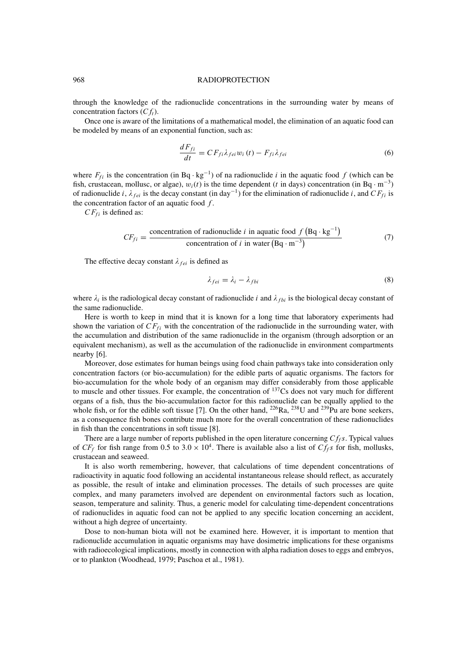through the knowledge of the radionuclide concentrations in the surrounding water by means of concentration factors  $(Cf_t)$ .

Once one is aware of the limitations of a mathematical model, the elimination of an aquatic food can be modeled by means of an exponential function, such as:

$$
\frac{dF_{fi}}{dt} = C F_{fi} \lambda_{fei} w_i(t) - F_{fi} \lambda_{fei}
$$
\n(6)

where  $F_{fi}$  is the concentration (in Bq · kg<sup>-1</sup>) of na radionuclide *i* in the aquatic food f (which can be fish, crustacean, mollusc, or algae),  $w_i(t)$  is the time dependent (t in days) concentration (in Bq · m<sup>-3</sup>) of radionuclide i,  $\lambda_{fei}$  is the decay constant (in day<sup>-1</sup>) for the elimination of radionuclide i, and  $CF_{fi}$  is the concentration factor of an aquatic food  $f$ .

 $CF_{fi}$  is defined as:

$$
CF_{fi} = \frac{\text{concentration of radionuclide } i \text{ in aquatic food } f (Bq \cdot kg^{-1})}{\text{concentration of } i \text{ in water} (Bq \cdot m^{-3})}
$$
(7)

The effective decay constant  $\lambda_{fel}$  is defined as

$$
\lambda_{fei} = \lambda_i - \lambda_{fbi} \tag{8}
$$

where  $\lambda_i$  is the radiological decay constant of radionuclide i and  $\lambda_{fbi}$  is the biological decay constant of the same radionuclide.

Here is worth to keep in mind that it is known for a long time that laboratory experiments had shown the variation of  $CF_{fi}$  with the concentration of the radionuclide in the surrounding water, with the accumulation and distribution of the same radionuclide in the organism (through adsorption or an equivalent mechanism), as well as the accumulation of the radionuclide in environment compartments nearby [6].

Moreover, dose estimates for human beings using food chain pathways take into consideration only concentration factors (or bio-accumulation) for the edible parts of aquatic organisms. The factors for bio-accumulation for the whole body of an organism may differ considerably from those applicable to muscle and other tissues. For example, the concentration of 137Cs does not vary much for different organs of a fish, thus the bio-accumulation factor for this radionuclide can be equally applied to the whole fish, or for the edible soft tissue [7]. On the other hand,  $^{226}Ra$ ,  $^{238}U$  and  $^{239}Pu$  are bone seekers, as a consequence fish bones contribute much more for the overall concentration of these radionuclides in fish than the concentrations in soft tissue [8].

There are a large number of reports published in the open literature concerning  $Cf_f s$ . Typical values of  $CF_f$  for fish range from 0.5 to 3.0  $\times$  10<sup>4</sup>. There is available also a list of  $C_{fs}$  for fish, mollusks, crustacean and seaweed.

It is also worth remembering, however, that calculations of time dependent concentrations of radioactivity in aquatic food following an accidental instantaneous release should reflect, as accurately as possible, the result of intake and elimination processes. The details of such processes are quite complex, and many parameters involved are dependent on environmental factors such as location, season, temperature and salinity. Thus, a generic model for calculating time-dependent concentrations of radionuclides in aquatic food can not be applied to any specific location concerning an accident, without a high degree of uncertainty.

Dose to non-human biota will not be examined here. However, it is important to mention that radionuclide accumulation in aquatic organisms may have dosimetric implications for these organisms with radioecological implications, mostly in connection with alpha radiation doses to eggs and embryos, or to plankton (Woodhead, 1979; Paschoa et al., 1981).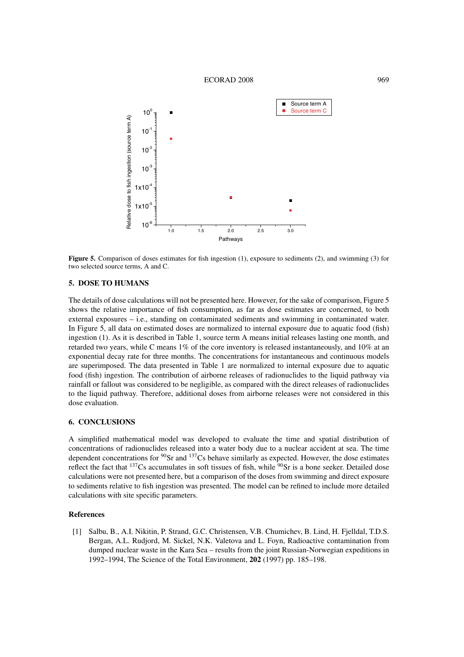

**Figure 5.** Comparison of doses estimates for fish ingestion (1), exposure to sediments (2), and swimming (3) for two selected source terms, A and C.

## **5. DOSE TO HUMANS**

The details of dose calculations will not be presented here. However, for the sake of comparison, Figure 5 shows the relative importance of fish consumption, as far as dose estimates are concerned, to both external exposures – i.e., standing on contaminated sediments and swimming in contaminated water. In Figure 5, all data on estimated doses are normalized to internal exposure due to aquatic food (fish) ingestion (1). As it is described in Table 1, source term A means initial releases lasting one month, and retarded two years, while C means 1% of the core inventory is released instantaneously, and 10% at an exponential decay rate for three months. The concentrations for instantaneous and continuous models are superimposed. The data presented in Table 1 are normalized to internal exposure due to aquatic food (fish) ingestion. The contribution of airborne releases of radionuclides to the liquid pathway via rainfall or fallout was considered to be negligible, as compared with the direct releases of radionuclides to the liquid pathway. Therefore, additional doses from airborne releases were not considered in this dose evaluation.

## **6. CONCLUSIONS**

A simplified mathematical model was developed to evaluate the time and spatial distribution of concentrations of radionuclides released into a water body due to a nuclear accident at sea. The time dependent concentrations for <sup>90</sup>Sr and <sup>137</sup>Cs behave similarly as expected. However, the dose estimates reflect the fact that  $^{137}$ Cs accumulates in soft tissues of fish, while  $^{90}$ Sr is a bone seeker. Detailed dose calculations were not presented here, but a comparison of the doses from swimming and direct exposure to sediments relative to fish ingestion was presented. The model can be refined to include more detailed calculations with site specific parameters.

## **References**

[1] Salbu, B., A.I. Nikitin, P. Strand, G.C. Christensen, V.B. Chumichev, B. Lind, H. Fjelldal, T.D.S. Bergan, A.L. Rudjord, M. Sickel, N.K. Valetova and L. Foyn, Radioactive contamination from dumped nuclear waste in the Kara Sea – results from the joint Russian-Norwegian expeditions in 1992–1994, The Science of the Total Environment, **202** (1997) pp. 185–198.